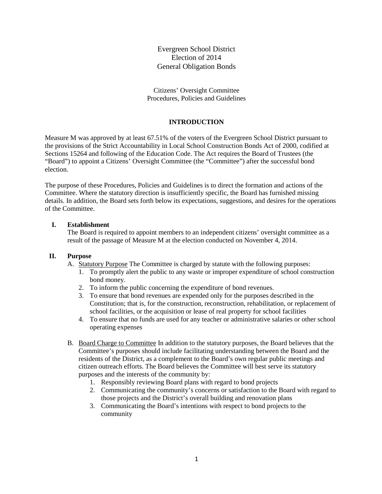Evergreen School District Election of 2014 General Obligation Bonds

Citizens' Oversight Committee Procedures, Policies and Guidelines

# **INTRODUCTION**

Measure M was approved by at least 67.51% of the voters of the Evergreen School District pursuant to the provisions of the Strict Accountability in Local School Construction Bonds Act of 2000, codified at Sections 15264 and following of the Education Code. The Act requires the Board of Trustees (the "Board") to appoint a Citizens' Oversight Committee (the "Committee") after the successful bond election.

The purpose of these Procedures, Policies and Guidelines is to direct the formation and actions of the Committee. Where the statutory direction is insufficiently specific, the Board has furnished missing details. In addition, the Board sets forth below its expectations, suggestions, and desires for the operations of the Committee.

#### **I. Establishment**

The Board is required to appoint members to an independent citizens' oversight committee as a result of the passage of Measure M at the election conducted on November 4, 2014.

#### **II. Purpose**

- A. Statutory Purpose The Committee is charged by statute with the following purposes:
	- 1. To promptly alert the public to any waste or improper expenditure of school construction bond money.
	- 2. To inform the public concerning the expenditure of bond revenues.
	- 3. To ensure that bond revenues are expended only for the purposes described in the Constitution; that is, for the construction, reconstruction, rehabilitation, or replacement of school facilities, or the acquisition or lease of real property for school facilities
	- 4. To ensure that no funds are used for any teacher or administrative salaries or other school operating expenses
- B. Board Charge to Committee In addition to the statutory purposes, the Board believes that the Committee's purposes should include facilitating understanding between the Board and the residents of the District, as a complement to the Board's own regular public meetings and citizen outreach efforts. The Board believes the Committee will best serve its statutory purposes and the interests of the community by:
	- 1. Responsibly reviewing Board plans with regard to bond projects
	- 2. Communicating the community's concerns or satisfaction to the Board with regard to those projects and the District's overall building and renovation plans
	- 3. Communicating the Board's intentions with respect to bond projects to the community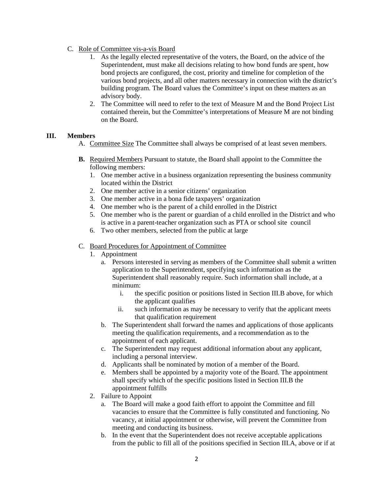- C. Role of Committee vis-a-vis Board
	- 1. As the legally elected representative of the voters, the Board, on the advice of the Superintendent, must make all decisions relating to how bond funds are spent, how bond projects are configured, the cost, priority and timeline for completion of the various bond projects, and all other matters necessary in connection with the district's building program. The Board values the Committee's input on these matters as an advisory body.
	- 2. The Committee will need to refer to the text of Measure M and the Bond Project List contained therein, but the Committee's interpretations of Measure M are not binding on the Board.

### **III. Members**

- A. Committee Size The Committee shall always be comprised of at least seven members.
- **B.** Required Members Pursuant to statute, the Board shall appoint to the Committee the following members:
	- 1. One member active in a business organization representing the business community located within the District
	- 2. One member active in a senior citizens' organization
	- 3. One member active in a bona fide taxpayers' organization
	- 4. One member who is the parent of a child enrolled in the District
	- 5. One member who is the parent or guardian of a child enrolled in the District and who is active in a parent-teacher organization such as PTA or school site council
	- 6. Two other members, selected from the public at large

### C. Board Procedures for Appointment of Committee

- 1. Appointment
	- a. Persons interested in serving as members of the Committee shall submit a written application to the Superintendent, specifying such information as the Superintendent shall reasonably require. Such information shall include, at a minimum:
		- i. the specific position or positions listed in Section III.B above, for which the applicant qualifies
		- ii. such information as may be necessary to verify that the applicant meets that qualification requirement
	- b. The Superintendent shall forward the names and applications of those applicants meeting the qualification requirements, and a recommendation as to the appointment of each applicant.
	- c. The Superintendent may request additional information about any applicant, including a personal interview.
	- d. Applicants shall be nominated by motion of a member of the Board.
	- e. Members shall be appointed by a majority vote of the Board. The appointment shall specify which of the specific positions listed in Section III.B the appointment fulfills
- 2. Failure to Appoint
	- a. The Board will make a good faith effort to appoint the Committee and fill vacancies to ensure that the Committee is fully constituted and functioning. No vacancy, at initial appointment or otherwise, will prevent the Committee from meeting and conducting its business.
	- b. In the event that the Superintendent does not receive acceptable applications from the public to fill all of the positions specified in Section III.A, above or if at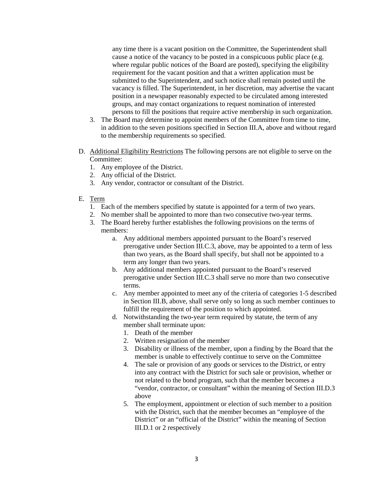any time there is a vacant position on the Committee, the Superintendent shall cause a notice of the vacancy to be posted in a conspicuous public place (e.g. where regular public notices of the Board are posted), specifying the eligibility requirement for the vacant position and that a written application must be submitted to the Superintendent, and such notice shall remain posted until the vacancy is filled. The Superintendent, in her discretion, may advertise the vacant position in a newspaper reasonably expected to be circulated among interested groups, and may contact organizations to request nomination of interested persons to fill the positions that require active membership in such organization.

- 3. The Board may determine to appoint members of the Committee from time to time, in addition to the seven positions specified in Section III.A, above and without regard to the membership requirements so specified.
- D. Additional Eligibility Restrictions The following persons are not eligible to serve on the Committee:
	- 1. Any employee of the District.
	- 2. Any official of the District.
	- 3. Any vendor, contractor or consultant of the District.
- E. Term
	- 1. Each of the members specified by statute is appointed for a term of two years.
	- 2. No member shall be appointed to more than two consecutive two-year terms.
	- 3. The Board hereby further establishes the following provisions on the terms of members:
		- a. Any additional members appointed pursuant to the Board's reserved prerogative under Section III.C.3, above, may be appointed to a term of less than two years, as the Board shall specify, but shall not be appointed to a term any longer than two years.
		- b. Any additional members appointed pursuant to the Board's reserved prerogative under Section III.C.3 shall serve no more than two consecutive terms.
		- c. Any member appointed to meet any of the criteria of categories 1-5 described in Section III.B, above, shall serve only so long as such member continues to fulfill the requirement of the position to which appointed.
		- d. Notwithstanding the two-year term required by statute, the term of any member shall terminate upon:
			- 1. Death of the member
			- 2. Written resignation of the member
			- 3. Disability or illness of the member, upon a finding by the Board that the member is unable to effectively continue to serve on the Committee
			- 4. The sale or provision of any goods or services to the District, or entry into any contract with the District for such sale or provision, whether or not related to the bond program, such that the member becomes a "vendor, contractor, or consultant" within the meaning of Section III.D.3 above
			- 5. The employment, appointment or election of such member to a position with the District, such that the member becomes an "employee of the District" or an "official of the District" within the meaning of Section III.D.1 or 2 respectively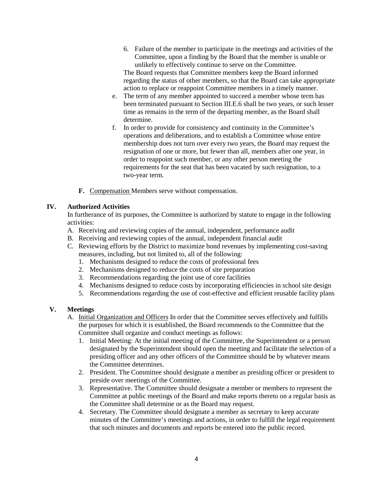6. Failure of the member to participate in the meetings and activities of the Committee, upon a finding by the Board that the member is unable or unlikely to effectively continue to serve on the Committee.

The Board requests that Committee members keep the Board informed regarding the status of other members, so that the Board can take appropriate action to replace or reappoint Committee members in a timely manner.

- e. The term of any member appointed to succeed a member whose term has been terminated pursuant to Section III.E.6 shall be two years, or such lesser time as remains in the term of the departing member, as the Board shall determine.
- f. In order to provide for consistency and continuity in the Committee's operations and deliberations, and to establish a Committee whose entire membership does not turn over every two years, the Board may request the resignation of one or more, but fewer than all, members after one year, in order to reappoint such member, or any other person meeting the requirements for the seat that has been vacated by such resignation, to a two-year term.
- **F.** Compensation Members serve without compensation.

# **IV. Authorized Activities**

In furtherance of its purposes, the Committee is authorized by statute to engage in the following activities:

- A. Receiving and reviewing copies of the annual, independent, performance audit
- B. Receiving and reviewing copies of the annual, independent financial audit
- C. Reviewing efforts by the District to maximize bond revenues by implementing cost-saving measures, including, but not limited to, all of the following:
	- 1. Mechanisms designed to reduce the costs of professional fees
	- 2. Mechanisms designed to reduce the costs of site preparation
	- 3. Recommendations regarding the joint use of core facilities
	- 4. Mechanisms designed to reduce costs by incorporating efficiencies in school site design
	- 5. Recommendations regarding the use of cost-effective and efficient reusable facility plans

# **V. Meetings**

- A. Initial Organization and Officers In order that the Committee serves effectively and fulfills the purposes for which it is established, the Board recommends to the Committee that the Committee shall organize and conduct meetings as follows:
	- 1. Initial Meeting: At the initial meeting of the Committee, the Superintendent or a person designated by the Superintendent should open the meeting and facilitate the selection of a presiding officer and any other officers of the Committee should be by whatever means the Committee determines.
	- 2. President. The Committee should designate a member as presiding officer or president to preside over meetings of the Committee.
	- 3. Representative. The Committee should designate a member or members to represent the Committee at public meetings of the Board and make reports thereto on a regular basis as the Committee shall determine or as the Board may request.
	- 4. Secretary. The Committee should designate a member as secretary to keep accurate minutes of the Committee's meetings and actions, in order to fulfill the legal requirement that such minutes and documents and reports be entered into the public record.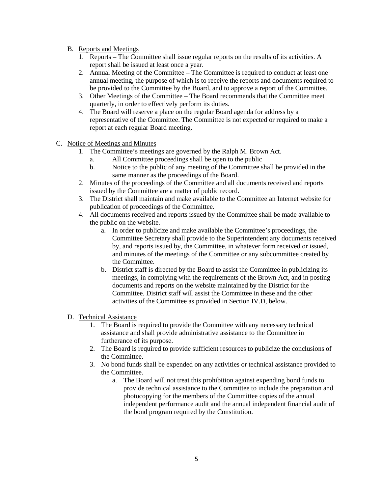- B. Reports and Meetings
	- 1. Reports The Committee shall issue regular reports on the results of its activities. A report shall be issued at least once a year.
	- 2. Annual Meeting of the Committee The Committee is required to conduct at least one annual meeting, the purpose of which is to receive the reports and documents required to be provided to the Committee by the Board, and to approve a report of the Committee.
	- 3. Other Meetings of the Committee The Board recommends that the Committee meet quarterly, in order to effectively perform its duties.
	- 4. The Board will reserve a place on the regular Board agenda for address by a representative of the Committee. The Committee is not expected or required to make a report at each regular Board meeting.
- C. Notice of Meetings and Minutes
	- 1. The Committee's meetings are governed by the Ralph M. Brown Act.
		- a. All Committee proceedings shall be open to the public
		- b. Notice to the public of any meeting of the Committee shall be provided in the same manner as the proceedings of the Board.
	- 2. Minutes of the proceedings of the Committee and all documents received and reports issued by the Committee are a matter of public record.
	- 3. The District shall maintain and make available to the Committee an Internet website for publication of proceedings of the Committee.
	- 4. All documents received and reports issued by the Committee shall be made available to the public on the website.
		- a. In order to publicize and make available the Committee's proceedings, the Committee Secretary shall provide to the Superintendent any documents received by, and reports issued by, the Committee, in whatever form received or issued, and minutes of the meetings of the Committee or any subcommittee created by the Committee.
		- b. District staff is directed by the Board to assist the Committee in publicizing its meetings, in complying with the requirements of the Brown Act, and in posting documents and reports on the website maintained by the District for the Committee. District staff will assist the Committee in these and the other activities of the Committee as provided in Section IV.D, below.

# D. Technical Assistance

- 1. The Board is required to provide the Committee with any necessary technical assistance and shall provide administrative assistance to the Committee in furtherance of its purpose.
- 2. The Board is required to provide sufficient resources to publicize the conclusions of the Committee.
- 3. No bond funds shall be expended on any activities or technical assistance provided to the Committee.
	- a. The Board will not treat this prohibition against expending bond funds to provide technical assistance to the Committee to include the preparation and photocopying for the members of the Committee copies of the annual independent performance audit and the annual independent financial audit of the bond program required by the Constitution.